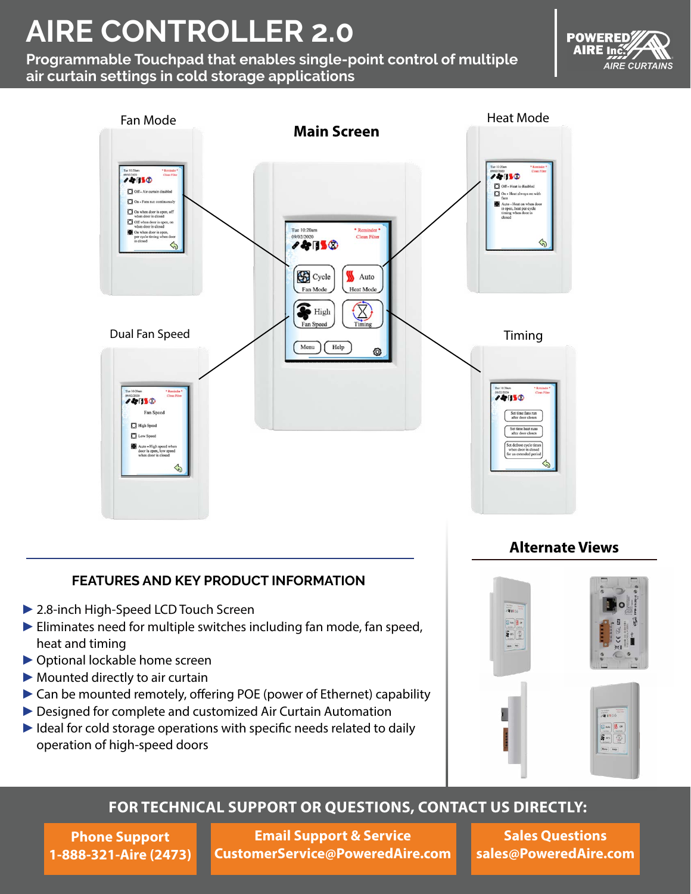# **AIRE CONTROLLER 2.0**

**Programmable Touchpad that enables single-point control of multiple air curtain settings in cold storage applications**





#### **FEATURES AND KEY PRODUCT INFORMATION**

- ►2.8-inch High-Speed LCD Touch Screen
- ► Eliminates need for multiple switches including fan mode, fan speed, heat and timing
- ►Optional lockable home screen
- $\blacktriangleright$  Mounted directly to air curtain
- ►Can be mounted remotely, offering POE (power of Ethernet) capability
- ▶ Designed for complete and customized Air Curtain Automation
- ► Ideal for cold storage operations with specific needs related to daily operation of high-speed doors

#### **Alternate Views**



#### **FOR TECHNICAL SUPPORT OR QUESTIONS, CONTACT US DIRECTLY:**

**Phone Support 1-888-321-Aire (2473)**

**[Email Support & Service](mailto:CustomerService%40PoweredAire.com?subject=)  [CustomerService@PoweredAire.com](mailto:CustomerService%40PoweredAire.com?subject=)**

**[Sales Questions](mailto:sales%40PoweredAire.com?subject=) [sales@PoweredAire.com](mailto:sales%40PoweredAire.com?subject=)**